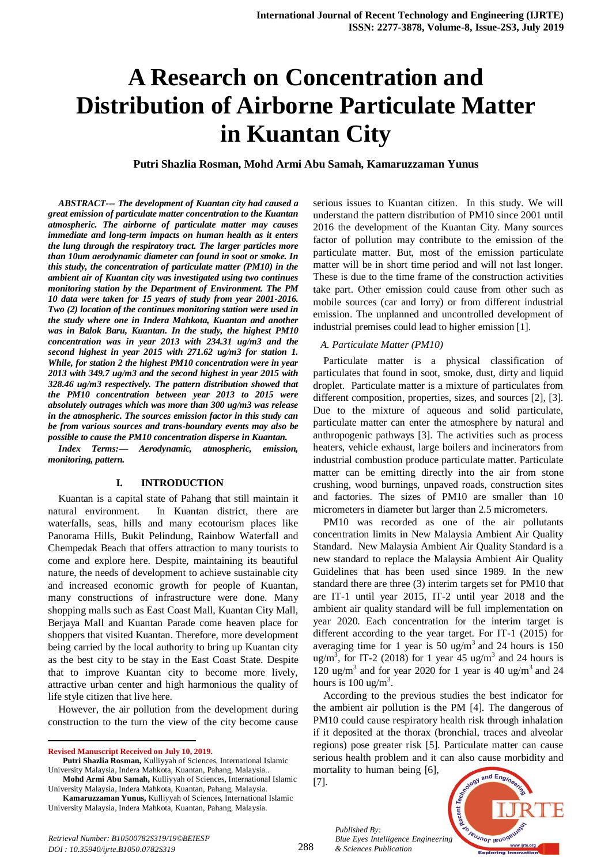# **A Research on Concentration and Distribution of Airborne Particulate Matter in Kuantan City**

**Putri Shazlia Rosman, Mohd Armi Abu Samah, Kamaruzzaman Yunus**

*ABSTRACT--- The development of Kuantan city had caused a great emission of particulate matter concentration to the Kuantan atmospheric. The airborne of particulate matter may causes immediate and long-term impacts on human health as it enters the lung through the respiratory tract. The larger particles more than 10um aerodynamic diameter can found in soot or smoke. In this study, the concentration of particulate matter (PM10) in the ambient air of Kuantan city was investigated using two continues monitoring station by the Department of Environment. The PM 10 data were taken for 15 years of study from year 2001-2016. Two (2) location of the continues monitoring station were used in the study where one in Indera Mahkota, Kuantan and another was in Balok Baru, Kuantan. In the study, the highest PM10 concentration was in year 2013 with 234.31 ug/m3 and the second highest in year 2015 with 271.62 ug/m3 for station 1. While, for station 2 the highest PM10 concentration were in year 2013 with 349.7 ug/m3 and the second highest in year 2015 with 328.46 ug/m3 respectively. The pattern distribution showed that the PM10 concentration between year 2013 to 2015 were absolutely outrages which was more than 300 ug/m3 was release in the atmospheric. The sources emission factor in this study can be from various sources and trans-boundary events may also be possible to cause the PM10 concentration disperse in Kuantan.*

*Index Terms:— Aerodynamic, atmospheric, emission, monitoring, pattern.*

#### **I. INTRODUCTION**

Kuantan is a capital state of Pahang that still maintain it natural environment. In Kuantan district, there are waterfalls, seas, hills and many ecotourism places like Panorama Hills, Bukit Pelindung, Rainbow Waterfall and Chempedak Beach that offers attraction to many tourists to come and explore here. Despite, maintaining its beautiful nature, the needs of development to achieve sustainable city and increased economic growth for people of Kuantan, many constructions of infrastructure were done. Many shopping malls such as East Coast Mall, Kuantan City Mall, Berjaya Mall and Kuantan Parade come heaven place for shoppers that visited Kuantan. Therefore, more development being carried by the local authority to bring up Kuantan city as the best city to be stay in the East Coast State. Despite that to improve Kuantan city to become more lively, attractive urban center and high harmonious the quality of life style citizen that live here.

However, the air pollution from the development during construction to the turn the view of the city become cause

 $\overline{a}$ 

**Mohd Armi Abu Samah,** Kulliyyah of Sciences, International Islamic University Malaysia, Indera Mahkota, Kuantan, Pahang, Malaysia.

serious issues to Kuantan citizen. In this study. We will understand the pattern distribution of PM10 since 2001 until 2016 the development of the Kuantan City. Many sources factor of pollution may contribute to the emission of the particulate matter. But, most of the emission particulate matter will be in short time period and will not last longer. These is due to the time frame of the construction activities take part. Other emission could cause from other such as mobile sources (car and lorry) or from different industrial emission. The unplanned and uncontrolled development of industrial premises could lead to higher emission [1].

#### *A. Particulate Matter (PM10)*

Particulate matter is a physical classification of particulates that found in soot, smoke, dust, dirty and liquid droplet. Particulate matter is a mixture of particulates from different composition, properties, sizes, and sources [2], [3]. Due to the mixture of aqueous and solid particulate, particulate matter can enter the atmosphere by natural and anthropogenic pathways [3]. The activities such as process heaters, vehicle exhaust, large boilers and incinerators from industrial combustion produce particulate matter. Particulate matter can be emitting directly into the air from stone crushing, wood burnings, unpaved roads, construction sites and factories. The sizes of PM10 are smaller than 10 micrometers in diameter but larger than 2.5 micrometers.

PM10 was recorded as one of the air pollutants concentration limits in New Malaysia Ambient Air Quality Standard. New Malaysia Ambient Air Quality Standard is a new standard to replace the Malaysia Ambient Air Quality Guidelines that has been used since 1989. In the new standard there are three (3) interim targets set for PM10 that are IT-1 until year 2015, IT-2 until year 2018 and the ambient air quality standard will be full implementation on year 2020. Each concentration for the interim target is different according to the year target. For IT-1 (2015) for averaging time for 1 year is 50 ug/m<sup>3</sup> and 24 hours is 150 ug/m<sup>3</sup>, for IT-2 (2018) for 1 year 45 ug/m<sup>3</sup> and 24 hours is 120 ug/m<sup>3</sup> and for year 2020 for 1 year is 40 ug/m<sup>3</sup> and 24 hours is  $100 \text{ ug/m}^3$ .

According to the previous studies the best indicator for the ambient air pollution is the PM [4]. The dangerous of PM10 could cause respiratory health risk through inhalation if it deposited at the thorax (bronchial, traces and alveolar regions) pose greater risk [5]. Particulate matter can cause serious health problem and it can also cause morbidity and mortality to human being [6],

[7].

*Published By:*



**Revised Manuscript Received on July 10, 2019.**

**Putri Shazlia Rosman,** Kulliyyah of Sciences, International Islamic University Malaysia, Indera Mahkota, Kuantan, Pahang, Malaysia..

**Kamaruzzaman Yunus,** Kulliyyah of Sciences, International Islamic University Malaysia, Indera Mahkota, Kuantan, Pahang, Malaysia.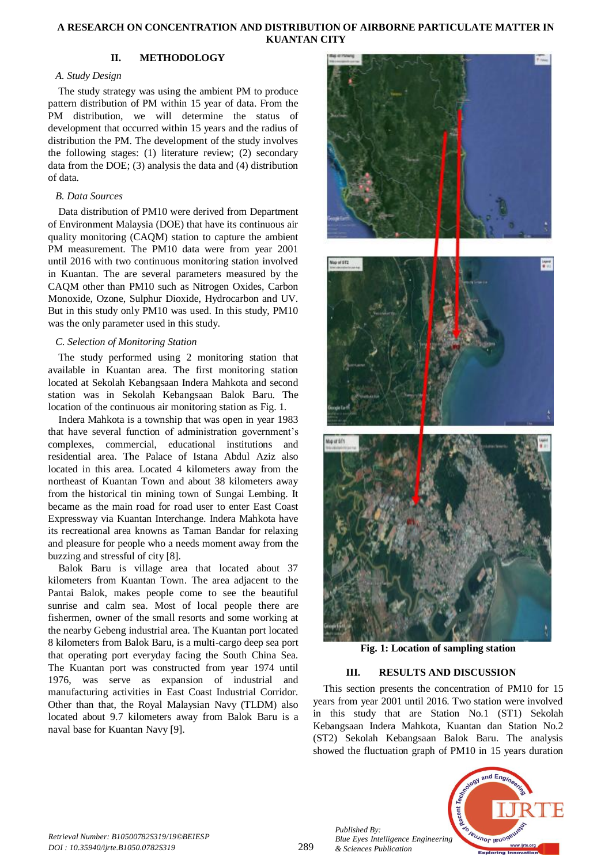## **A RESEARCH ON CONCENTRATION AND DISTRIBUTION OF AIRBORNE PARTICULATE MATTER IN KUANTAN CITY**

# **II. METHODOLOGY**

## *A. Study Design*

The study strategy was using the ambient PM to produce pattern distribution of PM within 15 year of data. From the PM distribution, we will determine the status of development that occurred within 15 years and the radius of distribution the PM. The development of the study involves the following stages: (1) literature review; (2) secondary data from the DOE; (3) analysis the data and (4) distribution of data.

# *B. Data Sources*

Data distribution of PM10 were derived from Department of Environment Malaysia (DOE) that have its continuous air quality monitoring (CAQM) station to capture the ambient PM measurement. The PM10 data were from year 2001 until 2016 with two continuous monitoring station involved in Kuantan. The are several parameters measured by the CAQM other than PM10 such as Nitrogen Oxides, Carbon Monoxide, Ozone, Sulphur Dioxide, Hydrocarbon and UV. But in this study only PM10 was used. In this study, PM10 was the only parameter used in this study.

# *C. Selection of Monitoring Station*

The study performed using 2 monitoring station that available in Kuantan area. The first monitoring station located at Sekolah Kebangsaan Indera Mahkota and second station was in Sekolah Kebangsaan Balok Baru. The location of the continuous air monitoring station as Fig. 1.

Indera Mahkota is a township that was open in year 1983 that have several function of administration government's complexes, commercial, educational institutions and residential area. The Palace of Istana Abdul Aziz also located in this area. Located 4 kilometers away from the northeast of Kuantan Town and about 38 kilometers away from the historical tin mining town of Sungai Lembing. It became as the main road for road user to enter East Coast Expressway via Kuantan Interchange. Indera Mahkota have its recreational area knowns as Taman Bandar for relaxing and pleasure for people who a needs moment away from the buzzing and stressful of city [8].

Balok Baru is village area that located about 37 kilometers from Kuantan Town. The area adjacent to the Pantai Balok, makes people come to see the beautiful sunrise and calm sea. Most of local people there are fishermen, owner of the small resorts and some working at the nearby Gebeng industrial area. The Kuantan port located 8 kilometers from Balok Baru, is a multi-cargo deep sea port that operating port everyday facing the South China Sea. The Kuantan port was constructed from year 1974 until 1976, was serve as expansion of industrial and manufacturing activities in East Coast Industrial Corridor. Other than that, the Royal Malaysian Navy (TLDM) also located about 9.7 kilometers away from Balok Baru is a naval base for Kuantan Navy [9].



**Fig. 1: Location of sampling station**

## **III. RESULTS AND DISCUSSION**

This section presents the concentration of PM10 for 15 years from year 2001 until 2016. Two station were involved in this study that are Station No.1 (ST1) Sekolah Kebangsaan Indera Mahkota, Kuantan dan Station No.2 (ST2) Sekolah Kebangsaan Balok Baru. The analysis showed the fluctuation graph of PM10 in 15 years duration



*Retrieval Number: B10500782S319/19©BEIESP DOI : 10.35940/ijrte.B1050.0782S319*

289

*Published By:*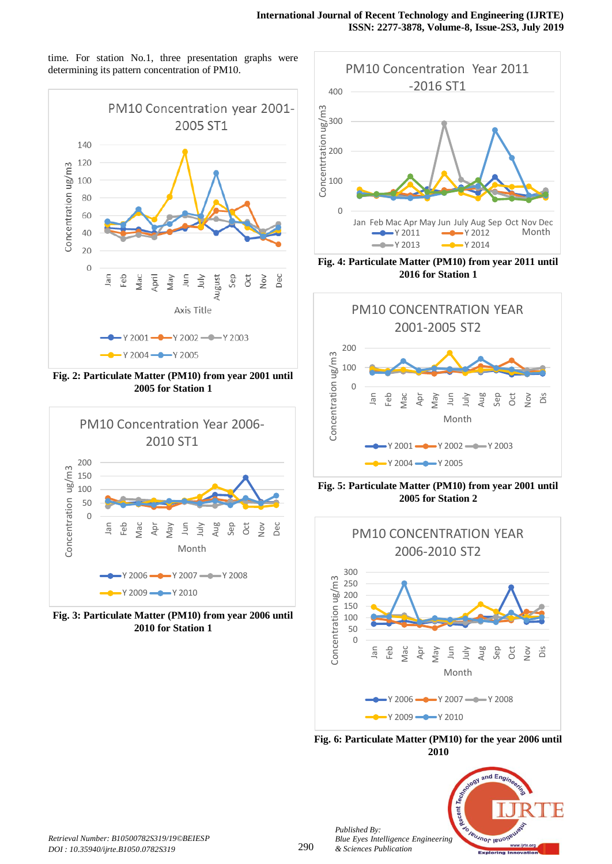



**Fig. 2: Particulate Matter (PM10) from year 2001 until 2005 for Station 1**



**Fig. 3: Particulate Matter (PM10) from year 2006 until 2010 for Station 1**



**Fig. 4: Particulate Matter (PM10) from year 2011 until 2016 for Station 1**



**Fig. 5: Particulate Matter (PM10) from year 2001 until 2005 for Station 2**



**Fig. 6: Particulate Matter (PM10) for the year 2006 until 2010**



*Published By:*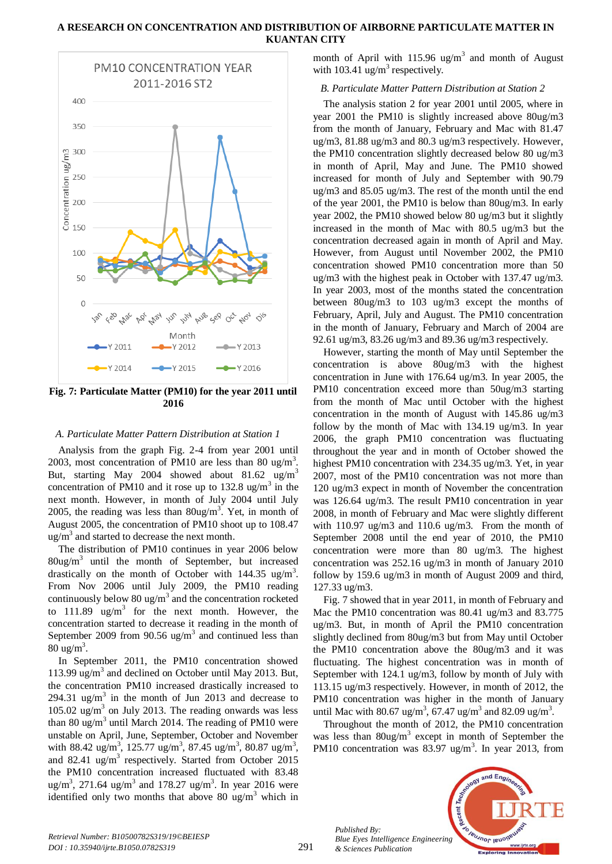# **A RESEARCH ON CONCENTRATION AND DISTRIBUTION OF AIRBORNE PARTICULATE MATTER IN KUANTAN CITY**



**Fig. 7: Particulate Matter (PM10) for the year 2011 until 2016**

## *A. Particulate Matter Pattern Distribution at Station 1*

Analysis from the graph Fig. 2-4 from year 2001 until 2003, most concentration of PM10 are less than 80 ug/m<sup>3</sup>. But, starting May 2004 showed about 81.62 ug/m<sup>3</sup> concentration of PM10 and it rose up to 132.8 ug/m<sup>3</sup> in the next month. However, in month of July 2004 until July 2005, the reading was less than  $80u\text{g/m}^3$ . Yet, in month of August 2005, the concentration of PM10 shoot up to 108.47  $\mu$ g/m<sup>3</sup> and started to decrease the next month.

The distribution of PM10 continues in year 2006 below  $80$ ug/m<sup>3</sup> until the month of September, but increased drastically on the month of October with  $144.35 \text{ ug/m}^3$ . From Nov 2006 until July 2009, the PM10 reading continuously below 80 ug/ $m<sup>3</sup>$  and the concentration rocketed to 111.89 ug/m<sup>3</sup> for the next month. However, the concentration started to decrease it reading in the month of September 2009 from 90.56 ug/m<sup>3</sup> and continued less than  $80 \text{ ug/m}^3$ .

In September 2011, the PM10 concentration showed 113.99 ug/m<sup>3</sup> and declined on October until May 2013. But, the concentration PM10 increased drastically increased to 294.31 ug/m<sup>3</sup> in the month of Jun 2013 and decrease to 105.02 ug/m<sup>3</sup> on July 2013. The reading onwards was less than 80 ug/m<sup>3</sup> until March 2014. The reading of PM10 were unstable on April, June, September, October and November with 88.42 ug/m<sup>3</sup>, 125.77 ug/m<sup>3</sup>, 87.45 ug/m<sup>3</sup>, 80.87 ug/m<sup>3</sup>, and 82.41 ug/m<sup>3</sup> respectively. Started from October 2015 the PM10 concentration increased fluctuated with 83.48 ug/m<sup>3</sup>, 271.64 ug/m<sup>3</sup> and 178.27 ug/m<sup>3</sup>. In year 2016 were identified only two months that above 80 ug/m<sup>3</sup> which in

month of April with 115.96 ug/m<sup>3</sup> and month of August with 103.41  $\text{ug/m}^3$  respectively.

#### *B. Particulate Matter Pattern Distribution at Station 2*

The analysis station 2 for year 2001 until 2005, where in year 2001 the PM10 is slightly increased above 80ug/m3 from the month of January, February and Mac with 81.47 ug/m3, 81.88 ug/m3 and 80.3 ug/m3 respectively. However, the PM10 concentration slightly decreased below 80 ug/m3 in month of April, May and June. The PM10 showed increased for month of July and September with 90.79 ug/m3 and 85.05 ug/m3. The rest of the month until the end of the year 2001, the PM10 is below than 80ug/m3. In early year 2002, the PM10 showed below 80 ug/m3 but it slightly increased in the month of Mac with 80.5 ug/m3 but the concentration decreased again in month of April and May. However, from August until November 2002, the PM10 concentration showed PM10 concentration more than 50 ug/m3 with the highest peak in October with 137.47 ug/m3. In year 2003, most of the months stated the concentration between 80ug/m3 to 103 ug/m3 except the months of February, April, July and August. The PM10 concentration in the month of January, February and March of 2004 are 92.61 ug/m3, 83.26 ug/m3 and 89.36 ug/m3 respectively.

However, starting the month of May until September the concentration is above 80ug/m3 with the highest concentration in June with 176.64 ug/m3. In year 2005, the PM10 concentration exceed more than 50ug/m3 starting from the month of Mac until October with the highest concentration in the month of August with 145.86 ug/m3 follow by the month of Mac with 134.19 ug/m3. In year 2006, the graph PM10 concentration was fluctuating throughout the year and in month of October showed the highest PM10 concentration with 234.35 ug/m3. Yet, in year 2007, most of the PM10 concentration was not more than 120 ug/m3 expect in month of November the concentration was 126.64 ug/m3. The result PM10 concentration in year 2008, in month of February and Mac were slightly different with 110.97 ug/m3 and 110.6 ug/m3. From the month of September 2008 until the end year of 2010, the PM10 concentration were more than 80 ug/m3. The highest concentration was 252.16 ug/m3 in month of January 2010 follow by 159.6 ug/m3 in month of August 2009 and third, 127.33 ug/m3.

Fig. 7 showed that in year 2011, in month of February and Mac the PM10 concentration was 80.41 ug/m3 and 83.775 ug/m3. But, in month of April the PM10 concentration slightly declined from 80ug/m3 but from May until October the PM10 concentration above the 80ug/m3 and it was fluctuating. The highest concentration was in month of September with 124.1 ug/m3, follow by month of July with 113.15 ug/m3 respectively. However, in month of 2012, the PM10 concentration was higher in the month of January until Mac with 80.67 ug/m<sup>3</sup>, 67.47 ug/m<sup>3</sup> and 82.09 ug/m<sup>3</sup>.

Throughout the month of 2012, the PM10 concentration was less than  $80$ ug/m<sup>3</sup> except in month of September the PM10 concentration was  $83.97 \text{ ug/m}^3$ . In year 2013, from



*Published By: Blue Eyes Intelligence Engineering & Sciences Publication* 

291